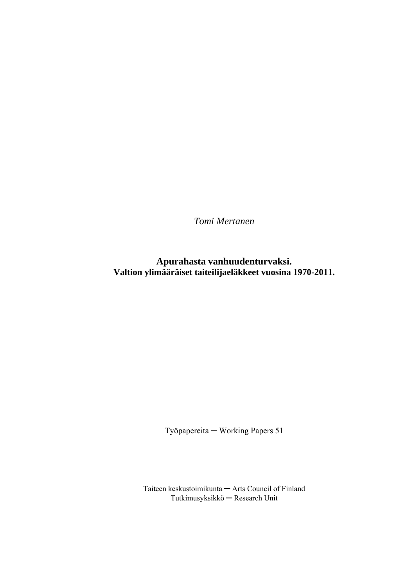*Tomi Mertanen* 

**Apurahasta vanhuudenturvaksi. Valtion ylimääräiset taiteilijaeläkkeet vuosina 1970-2011.** 

Työpapereita ─ Working Papers 51

Taiteen keskustoimikunta ─ Arts Council of Finland Tutkimusyksikkö ─ Research Unit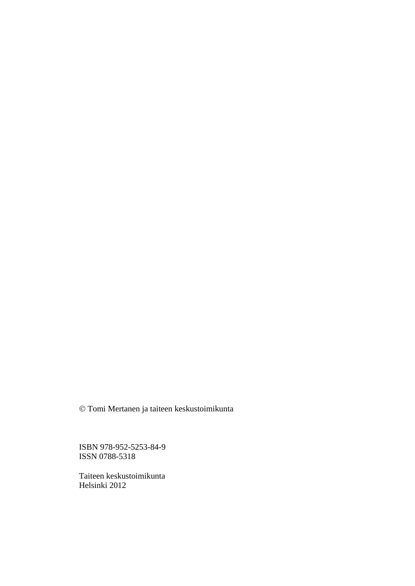© Tomi Mertanen ja taiteen keskustoimikunta

ISBN 978-952-5253-84-9 ISSN 0788-5318

Taiteen keskustoimikunta Helsinki 2012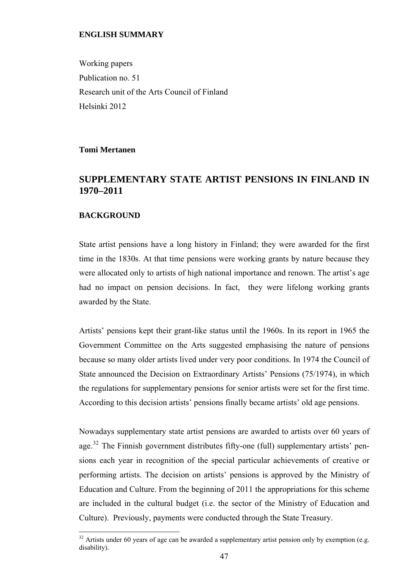## <span id="page-2-0"></span>**ENGLISH SUMMARY**

Working papers Publication no. 51 Research unit of the Arts Council of Finland Helsinki 2012

**Tomi Mertanen**

## **SUPPLEMENTARY STATE ARTIST PENSIONS IN FINLAND IN 1970–2011**

## **BACKGROUND**

 $\overline{a}$ 

State artist pensions have a long history in Finland; they were awarded for the first time in the 1830s. At that time pensions were working grants by nature because they were allocated only to artists of high national importance and renown. The artist's age had no impact on pension decisions. In fact, they were lifelong working grants awarded by the State.

Artists' pensions kept their grant-like status until the 1960s. In its report in 1965 the Government Committee on the Arts suggested emphasising the nature of pensions because so many older artists lived under very poor conditions. In 1974 the Council of State announced the Decision on Extraordinary Artists' Pensions (75/1974), in which the regulations for supplementary pensions for senior artists were set for the first time. According to this decision artists' pensions finally became artists' old age pensions.

Nowadays supplementary state artist pensions are awarded to artists over 60 years of age.<sup>[32](#page-2-0)</sup> The Finnish government distributes fifty-one (full) supplementary artists' pensions each year in recognition of the special particular achievements of creative or performing artists. The decision on artists' pensions is approved by the Ministry of Education and Culture. From the beginning of 2011 the appropriations for this scheme are included in the cultural budget (i.e. the sector of the Ministry of Education and Culture). Previously, payments were conducted through the State Treasury.

 $32$  Artists under 60 years of age can be awarded a supplementary artist pension only by exemption (e.g. disability).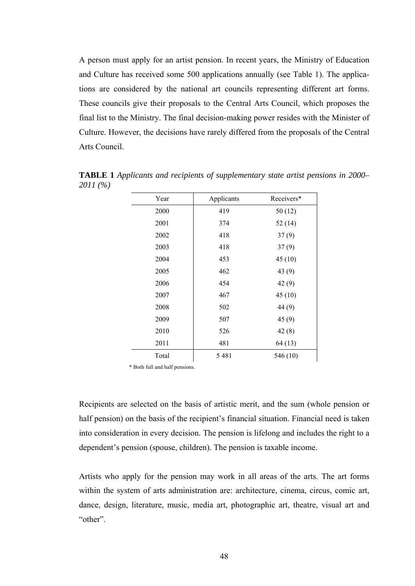A person must apply for an artist pension. In recent years, the Ministry of Education and Culture has received some 500 applications annually (see Table 1). The applications are considered by the national art councils representing different art forms. These councils give their proposals to the Central Arts Council, which proposes the final list to the Ministry. The final decision-making power resides with the Minister of Culture. However, the decisions have rarely differed from the proposals of the Central Arts Council.

| Year  | Applicants | Receivers* |
|-------|------------|------------|
| 2000  | 419        | 50(12)     |
| 2001  | 374        | 52(14)     |
| 2002  | 418        | 37(9)      |
| 2003  | 418        | 37(9)      |
| 2004  | 453        | 45(10)     |
| 2005  | 462        | 43 $(9)$   |
| 2006  | 454        | 42(9)      |
| 2007  | 467        | 45(10)     |
| 2008  | 502        | 44(9)      |
| 2009  | 507        | 45(9)      |
| 2010  | 526        | 42(8)      |
| 2011  | 481        | 64(13)     |
| Total | 5481       | 546 (10)   |

**TABLE 1** *Applicants and recipients of supplementary state artist pensions in 2000– 2011 (%)* 

\* Both full and half pensions.

Recipients are selected on the basis of artistic merit, and the sum (whole pension or half pension) on the basis of the recipient's financial situation. Financial need is taken into consideration in every decision. The pension is lifelong and includes the right to a dependent's pension (spouse, children). The pension is taxable income.

Artists who apply for the pension may work in all areas of the arts. The art forms within the system of arts administration are: architecture, cinema, circus, comic art, dance, design, literature, music, media art, photographic art, theatre, visual art and "other".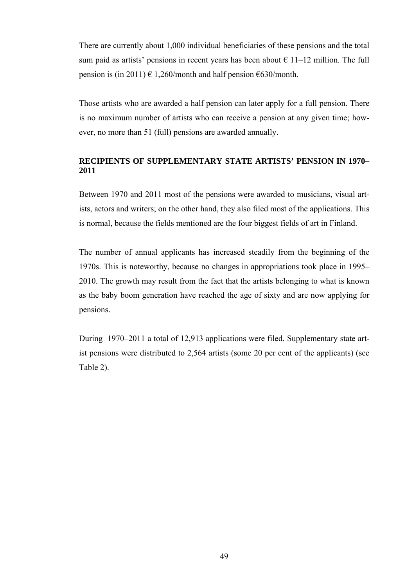There are currently about 1,000 individual beneficiaries of these pensions and the total sum paid as artists' pensions in recent years has been about  $\epsilon$  11–12 million. The full pension is (in 2011)  $\in$  1,260/month and half pension  $\in$  630/month.

Those artists who are awarded a half pension can later apply for a full pension. There is no maximum number of artists who can receive a pension at any given time; however, no more than 51 (full) pensions are awarded annually.

## **RECIPIENTS OF SUPPLEMENTARY STATE ARTISTS' PENSION IN 1970– 2011**

Between 1970 and 2011 most of the pensions were awarded to musicians, visual artists, actors and writers; on the other hand, they also filed most of the applications. This is normal, because the fields mentioned are the four biggest fields of art in Finland.

The number of annual applicants has increased steadily from the beginning of the 1970s. This is noteworthy, because no changes in appropriations took place in 1995– 2010. The growth may result from the fact that the artists belonging to what is known as the baby boom generation have reached the age of sixty and are now applying for pensions.

During 1970–2011 a total of 12,913 applications were filed. Supplementary state artist pensions were distributed to 2,564 artists (some 20 per cent of the applicants) (see Table 2).